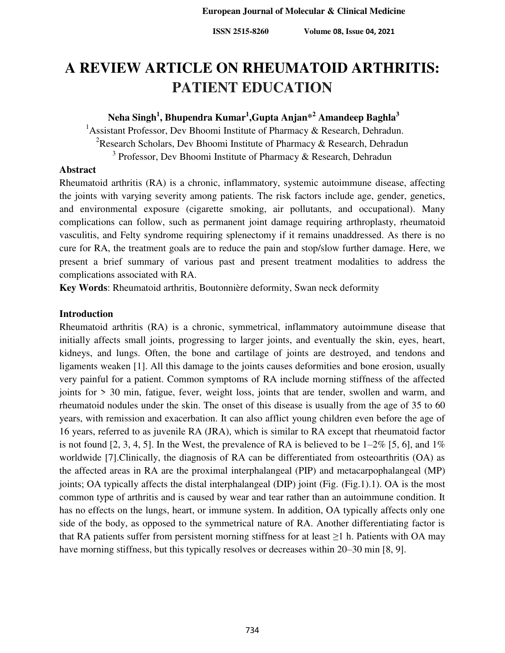# **A REVIEW ARTICLE ON RHEUMATOID ARTHRITIS: PATIENT EDUCATION**

# **Neha Singh<sup>1</sup> , Bhupendra Kumar<sup>1</sup> ,Gupta Anjan\*<sup>2</sup> Amandeep Baghla<sup>3</sup>**

<sup>1</sup> Assistant Professor, Dev Bhoomi Institute of Pharmacy & Research, Dehradun. <sup>2</sup>Research Scholars, Dev Bhoomi Institute of Pharmacy & Research, Dehradun <sup>3</sup> Professor, Dev Bhoomi Institute of Pharmacy & Research, Dehradun

## **Abstract**

Rheumatoid arthritis (RA) is a chronic, inflammatory, systemic autoimmune disease, affecting the joints with varying severity among patients. The risk factors include age, gender, genetics, and environmental exposure (cigarette smoking, air pollutants, and occupational). Many complications can follow, such as permanent joint damage requiring arthroplasty, rheumatoid vasculitis, and Felty syndrome requiring splenectomy if it remains unaddressed. As there is no cure for RA, the treatment goals are to reduce the pain and stop/slow further damage. Here, we present a brief summary of various past and present treatment modalities to address the complications associated with RA.

**Key Words**: Rheumatoid arthritis, Boutonnière deformity, Swan neck deformity

# **Introduction**

Rheumatoid arthritis (RA) is a chronic, symmetrical, inflammatory autoimmune disease that initially affects small joints, progressing to larger joints, and eventually the skin, eyes, heart, kidneys, and lungs. Often, the bone and cartilage of joints are destroyed, and tendons and ligaments weaken [1]. All this damage to the joints causes deformities and bone erosion, usually very painful for a patient. Common symptoms of RA include morning stiffness of the affected joints for > 30 min, fatigue, fever, weight loss, joints that are tender, swollen and warm, and rheumatoid nodules under the skin. The onset of this disease is usually from the age of 35 to 60 years, with remission and exacerbation. It can also afflict young children even before the age of 16 years, referred to as juvenile RA (JRA), which is similar to RA except that rheumatoid factor is not found [2, 3, 4, 5]. In the West, the prevalence of RA is believed to be  $1-2\%$  [5, 6], and  $1\%$ worldwide [7].Clinically, the diagnosis of RA can be differentiated from osteoarthritis (OA) as the affected areas in RA are the proximal interphalangeal (PIP) and metacarpophalangeal (MP) joints; OA typically affects the distal interphalangeal (DIP) joint (Fig. (Fig.1).1). OA is the most common type of arthritis and is caused by wear and tear rather than an autoimmune condition. It has no effects on the lungs, heart, or immune system. In addition, OA typically affects only one side of the body, as opposed to the symmetrical nature of RA. Another differentiating factor is that RA patients suffer from persistent morning stiffness for at least  $\geq 1$  h. Patients with OA may have morning stiffness, but this typically resolves or decreases within 20–30 min [8, 9].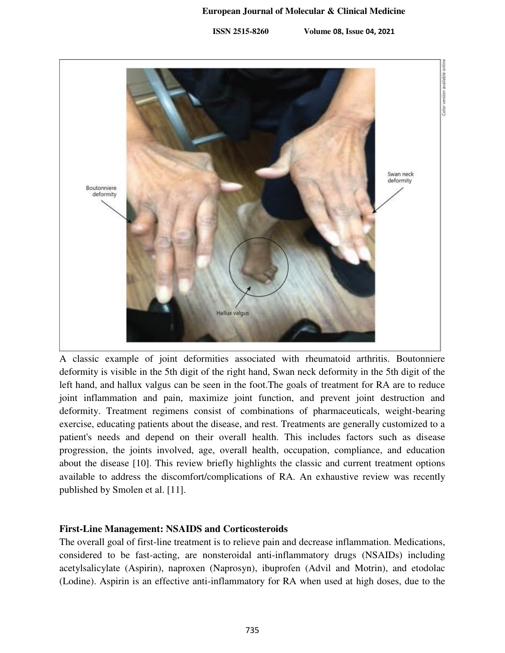#### **European Journal of Molecular & Clinical Medicine**

 **ISSN 2515-8260 Volume 08, Issue 04, 2021**



A classic example of joint deformities associated with rheumatoid arthritis. Boutonniere deformity is visible in the 5th digit of the right hand, Swan neck deformity in the 5th digit of the left hand, and hallux valgus can be seen in the foot.The goals of treatment for RA are to reduce joint inflammation and pain, maximize joint function, and prevent joint destruction and deformity. Treatment regimens consist of combinations of pharmaceuticals, weight-bearing exercise, educating patients about the disease, and rest. Treatments are generally customized to a patient's needs and depend on their overall health. This includes factors such as disease progression, the joints involved, age, overall health, occupation, compliance, and education about the disease [10]. This review briefly highlights the classic and current treatment options available to address the discomfort/complications of RA. An exhaustive review was recently published by Smolen et al. [11].

# **First-Line Management: NSAIDS and Corticosteroids**

The overall goal of first-line treatment is to relieve pain and decrease inflammation. Medications, considered to be fast-acting, are nonsteroidal anti-inflammatory drugs (NSAIDs) including acetylsalicylate (Aspirin), naproxen (Naprosyn), ibuprofen (Advil and Motrin), and etodolac (Lodine). Aspirin is an effective anti-inflammatory for RA when used at high doses, due to the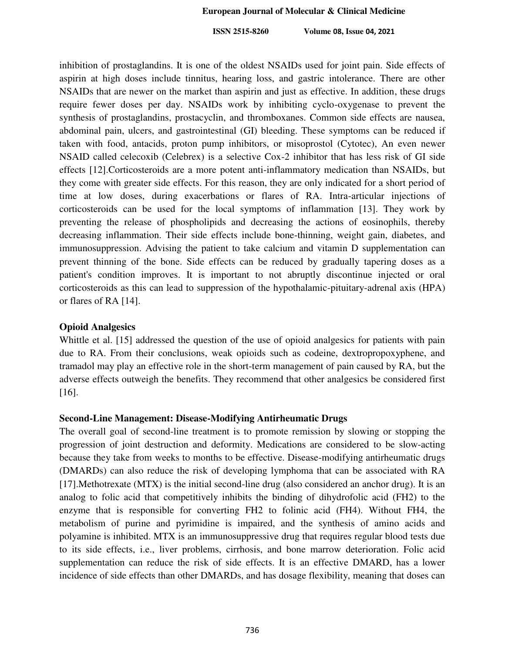inhibition of prostaglandins. It is one of the oldest NSAIDs used for joint pain. Side effects of aspirin at high doses include tinnitus, hearing loss, and gastric intolerance. There are other NSAIDs that are newer on the market than aspirin and just as effective. In addition, these drugs require fewer doses per day. NSAIDs work by inhibiting cyclo-oxygenase to prevent the synthesis of prostaglandins, prostacyclin, and thromboxanes. Common side effects are nausea, abdominal pain, ulcers, and gastrointestinal (GI) bleeding. These symptoms can be reduced if taken with food, antacids, proton pump inhibitors, or misoprostol (Cytotec), An even newer NSAID called celecoxib (Celebrex) is a selective Cox-2 inhibitor that has less risk of GI side effects [12].Corticosteroids are a more potent anti-inflammatory medication than NSAIDs, but they come with greater side effects. For this reason, they are only indicated for a short period of time at low doses, during exacerbations or flares of RA. Intra-articular injections of corticosteroids can be used for the local symptoms of inflammation [13]. They work by preventing the release of phospholipids and decreasing the actions of eosinophils, thereby decreasing inflammation. Their side effects include bone-thinning, weight gain, diabetes, and immunosuppression. Advising the patient to take calcium and vitamin D supplementation can prevent thinning of the bone. Side effects can be reduced by gradually tapering doses as a patient's condition improves. It is important to not abruptly discontinue injected or oral corticosteroids as this can lead to suppression of the hypothalamic-pituitary-adrenal axis (HPA) or flares of RA [14].

### **Opioid Analgesics**

Whittle et al. [15] addressed the question of the use of opioid analgesics for patients with pain due to RA. From their conclusions, weak opioids such as codeine, dextropropoxyphene, and tramadol may play an effective role in the short-term management of pain caused by RA, but the adverse effects outweigh the benefits. They recommend that other analgesics be considered first [16].

#### **Second-Line Management: Disease-Modifying Antirheumatic Drugs**

The overall goal of second-line treatment is to promote remission by slowing or stopping the progression of joint destruction and deformity. Medications are considered to be slow-acting because they take from weeks to months to be effective. Disease-modifying antirheumatic drugs (DMARDs) can also reduce the risk of developing lymphoma that can be associated with RA [17].Methotrexate (MTX) is the initial second-line drug (also considered an anchor drug). It is an analog to folic acid that competitively inhibits the binding of dihydrofolic acid (FH2) to the enzyme that is responsible for converting FH2 to folinic acid (FH4). Without FH4, the metabolism of purine and pyrimidine is impaired, and the synthesis of amino acids and polyamine is inhibited. MTX is an immunosuppressive drug that requires regular blood tests due to its side effects, i.e., liver problems, cirrhosis, and bone marrow deterioration. Folic acid supplementation can reduce the risk of side effects. It is an effective DMARD, has a lower incidence of side effects than other DMARDs, and has dosage flexibility, meaning that doses can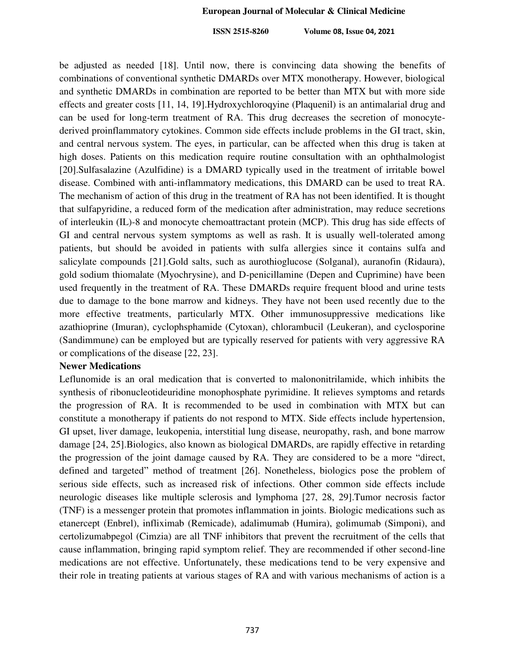be adjusted as needed [18]. Until now, there is convincing data showing the benefits of combinations of conventional synthetic DMARDs over MTX monotherapy. However, biological and synthetic DMARDs in combination are reported to be better than MTX but with more side effects and greater costs [11, 14, 19].Hydroxychloroqyine (Plaquenil) is an antimalarial drug and can be used for long-term treatment of RA. This drug decreases the secretion of monocytederived proinflammatory cytokines. Common side effects include problems in the GI tract, skin, and central nervous system. The eyes, in particular, can be affected when this drug is taken at high doses. Patients on this medication require routine consultation with an ophthalmologist [20].Sulfasalazine (Azulfidine) is a DMARD typically used in the treatment of irritable bowel disease. Combined with anti-inflammatory medications, this DMARD can be used to treat RA. The mechanism of action of this drug in the treatment of RA has not been identified. It is thought that sulfapyridine, a reduced form of the medication after administration, may reduce secretions of interleukin (IL)-8 and monocyte chemoattractant protein (MCP). This drug has side effects of GI and central nervous system symptoms as well as rash. It is usually well-tolerated among patients, but should be avoided in patients with sulfa allergies since it contains sulfa and salicylate compounds [21].Gold salts, such as aurothioglucose (Solganal), auranofin (Ridaura), gold sodium thiomalate (Myochrysine), and D-penicillamine (Depen and Cuprimine) have been used frequently in the treatment of RA. These DMARDs require frequent blood and urine tests due to damage to the bone marrow and kidneys. They have not been used recently due to the more effective treatments, particularly MTX. Other immunosuppressive medications like azathioprine (Imuran), cyclophsphamide (Cytoxan), chlorambucil (Leukeran), and cyclosporine (Sandimmune) can be employed but are typically reserved for patients with very aggressive RA or complications of the disease [22, 23].

#### **Newer Medications**

Leflunomide is an oral medication that is converted to malononitrilamide, which inhibits the synthesis of ribonucleotideuridine monophosphate pyrimidine. It relieves symptoms and retards the progression of RA. It is recommended to be used in combination with MTX but can constitute a monotherapy if patients do not respond to MTX. Side effects include hypertension, GI upset, liver damage, leukopenia, interstitial lung disease, neuropathy, rash, and bone marrow damage [24, 25].Biologics, also known as biological DMARDs, are rapidly effective in retarding the progression of the joint damage caused by RA. They are considered to be a more "direct, defined and targeted" method of treatment [26]. Nonetheless, biologics pose the problem of serious side effects, such as increased risk of infections. Other common side effects include neurologic diseases like multiple sclerosis and lymphoma [27, 28, 29].Tumor necrosis factor (TNF) is a messenger protein that promotes inflammation in joints. Biologic medications such as etanercept (Enbrel), infliximab (Remicade), adalimumab (Humira), golimumab (Simponi), and certolizumabpegol (Cimzia) are all TNF inhibitors that prevent the recruitment of the cells that cause inflammation, bringing rapid symptom relief. They are recommended if other second-line medications are not effective. Unfortunately, these medications tend to be very expensive and their role in treating patients at various stages of RA and with various mechanisms of action is a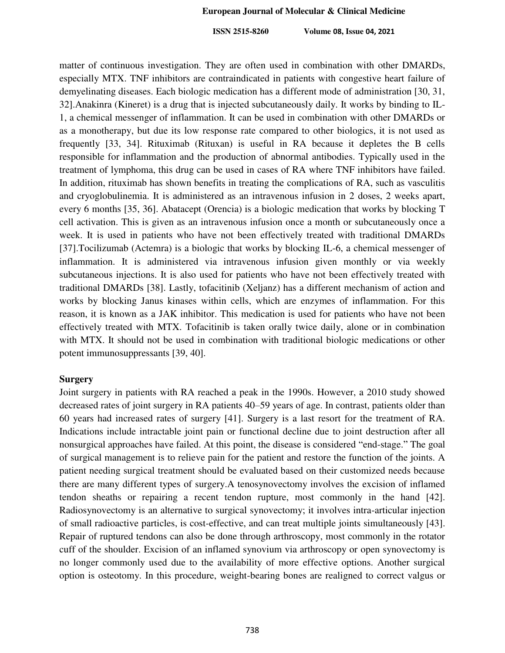matter of continuous investigation. They are often used in combination with other DMARDs, especially MTX. TNF inhibitors are contraindicated in patients with congestive heart failure of demyelinating diseases. Each biologic medication has a different mode of administration [30, 31, 32].Anakinra (Kineret) is a drug that is injected subcutaneously daily. It works by binding to IL-1, a chemical messenger of inflammation. It can be used in combination with other DMARDs or as a monotherapy, but due its low response rate compared to other biologics, it is not used as frequently [33, 34]. Rituximab (Rituxan) is useful in RA because it depletes the B cells responsible for inflammation and the production of abnormal antibodies. Typically used in the treatment of lymphoma, this drug can be used in cases of RA where TNF inhibitors have failed. In addition, rituximab has shown benefits in treating the complications of RA, such as vasculitis and cryoglobulinemia. It is administered as an intravenous infusion in 2 doses, 2 weeks apart, every 6 months [35, 36]. Abatacept (Orencia) is a biologic medication that works by blocking T cell activation. This is given as an intravenous infusion once a month or subcutaneously once a week. It is used in patients who have not been effectively treated with traditional DMARDs [37].Tocilizumab (Actemra) is a biologic that works by blocking IL-6, a chemical messenger of inflammation. It is administered via intravenous infusion given monthly or via weekly subcutaneous injections. It is also used for patients who have not been effectively treated with traditional DMARDs [38]. Lastly, tofacitinib (Xeljanz) has a different mechanism of action and works by blocking Janus kinases within cells, which are enzymes of inflammation. For this reason, it is known as a JAK inhibitor. This medication is used for patients who have not been effectively treated with MTX. Tofacitinib is taken orally twice daily, alone or in combination with MTX. It should not be used in combination with traditional biologic medications or other potent immunosuppressants [39, 40].

## **Surgery**

Joint surgery in patients with RA reached a peak in the 1990s. However, a 2010 study showed decreased rates of joint surgery in RA patients 40–59 years of age. In contrast, patients older than 60 years had increased rates of surgery [41]. Surgery is a last resort for the treatment of RA. Indications include intractable joint pain or functional decline due to joint destruction after all nonsurgical approaches have failed. At this point, the disease is considered "end-stage." The goal of surgical management is to relieve pain for the patient and restore the function of the joints. A patient needing surgical treatment should be evaluated based on their customized needs because there are many different types of surgery.A tenosynovectomy involves the excision of inflamed tendon sheaths or repairing a recent tendon rupture, most commonly in the hand [42]. Radiosynovectomy is an alternative to surgical synovectomy; it involves intra-articular injection of small radioactive particles, is cost-effective, and can treat multiple joints simultaneously [43]. Repair of ruptured tendons can also be done through arthroscopy, most commonly in the rotator cuff of the shoulder. Excision of an inflamed synovium via arthroscopy or open synovectomy is no longer commonly used due to the availability of more effective options. Another surgical option is osteotomy. In this procedure, weight-bearing bones are realigned to correct valgus or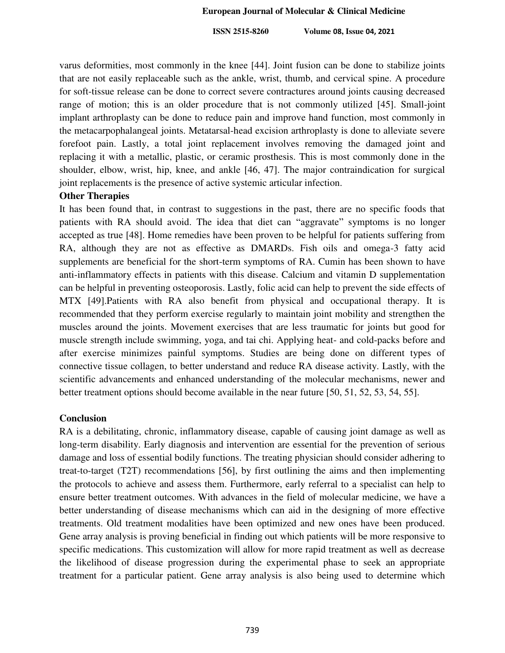varus deformities, most commonly in the knee [44]. Joint fusion can be done to stabilize joints that are not easily replaceable such as the ankle, wrist, thumb, and cervical spine. A procedure for soft-tissue release can be done to correct severe contractures around joints causing decreased range of motion; this is an older procedure that is not commonly utilized [45]. Small-joint implant arthroplasty can be done to reduce pain and improve hand function, most commonly in the metacarpophalangeal joints. Metatarsal-head excision arthroplasty is done to alleviate severe forefoot pain. Lastly, a total joint replacement involves removing the damaged joint and replacing it with a metallic, plastic, or ceramic prosthesis. This is most commonly done in the shoulder, elbow, wrist, hip, knee, and ankle [46, 47]. The major contraindication for surgical joint replacements is the presence of active systemic articular infection.

#### **Other Therapies**

It has been found that, in contrast to suggestions in the past, there are no specific foods that patients with RA should avoid. The idea that diet can "aggravate" symptoms is no longer accepted as true [48]. Home remedies have been proven to be helpful for patients suffering from RA, although they are not as effective as DMARDs. Fish oils and omega-3 fatty acid supplements are beneficial for the short-term symptoms of RA. Cumin has been shown to have anti-inflammatory effects in patients with this disease. Calcium and vitamin D supplementation can be helpful in preventing osteoporosis. Lastly, folic acid can help to prevent the side effects of MTX [49].Patients with RA also benefit from physical and occupational therapy. It is recommended that they perform exercise regularly to maintain joint mobility and strengthen the muscles around the joints. Movement exercises that are less traumatic for joints but good for muscle strength include swimming, yoga, and tai chi. Applying heat- and cold-packs before and after exercise minimizes painful symptoms. Studies are being done on different types of connective tissue collagen, to better understand and reduce RA disease activity. Lastly, with the scientific advancements and enhanced understanding of the molecular mechanisms, newer and better treatment options should become available in the near future [50, 51, 52, 53, 54, 55].

## **Conclusion**

RA is a debilitating, chronic, inflammatory disease, capable of causing joint damage as well as long-term disability. Early diagnosis and intervention are essential for the prevention of serious damage and loss of essential bodily functions. The treating physician should consider adhering to treat-to-target (T2T) recommendations [56], by first outlining the aims and then implementing the protocols to achieve and assess them. Furthermore, early referral to a specialist can help to ensure better treatment outcomes. With advances in the field of molecular medicine, we have a better understanding of disease mechanisms which can aid in the designing of more effective treatments. Old treatment modalities have been optimized and new ones have been produced. Gene array analysis is proving beneficial in finding out which patients will be more responsive to specific medications. This customization will allow for more rapid treatment as well as decrease the likelihood of disease progression during the experimental phase to seek an appropriate treatment for a particular patient. Gene array analysis is also being used to determine which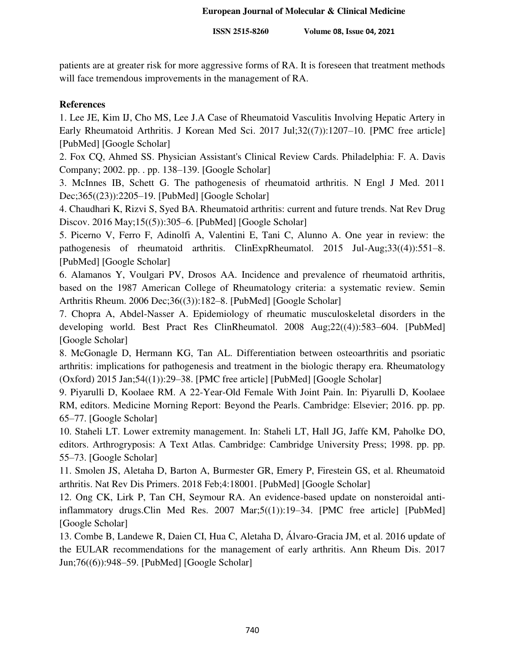patients are at greater risk for more aggressive forms of RA. It is foreseen that treatment methods will face tremendous improvements in the management of RA.

# **References**

1. Lee JE, Kim IJ, Cho MS, Lee J.A Case of Rheumatoid Vasculitis Involving Hepatic Artery in Early Rheumatoid Arthritis. J Korean Med Sci. 2017 Jul;32((7)):1207–10. [PMC free article] [PubMed] [Google Scholar]

2. Fox CQ, Ahmed SS. Physician Assistant's Clinical Review Cards. Philadelphia: F. A. Davis Company; 2002. pp. . pp. 138–139. [Google Scholar]

3. McInnes IB, Schett G. The pathogenesis of rheumatoid arthritis. N Engl J Med. 2011 Dec;365((23)):2205–19. [PubMed] [Google Scholar]

4. Chaudhari K, Rizvi S, Syed BA. Rheumatoid arthritis: current and future trends. Nat Rev Drug Discov. 2016 May;15((5)):305–6. [PubMed] [Google Scholar]

5. Picerno V, Ferro F, Adinolfi A, Valentini E, Tani C, Alunno A. One year in review: the pathogenesis of rheumatoid arthritis. ClinExpRheumatol. 2015 Jul-Aug;33((4)):551–8. [PubMed] [Google Scholar]

6. Alamanos Y, Voulgari PV, Drosos AA. Incidence and prevalence of rheumatoid arthritis, based on the 1987 American College of Rheumatology criteria: a systematic review. Semin Arthritis Rheum. 2006 Dec;36((3)):182–8. [PubMed] [Google Scholar]

7. Chopra A, Abdel-Nasser A. Epidemiology of rheumatic musculoskeletal disorders in the developing world. Best Pract Res ClinRheumatol. 2008 Aug;22((4)):583–604. [PubMed] [Google Scholar]

8. McGonagle D, Hermann KG, Tan AL. Differentiation between osteoarthritis and psoriatic arthritis: implications for pathogenesis and treatment in the biologic therapy era. Rheumatology (Oxford) 2015 Jan;54((1)):29–38. [PMC free article] [PubMed] [Google Scholar]

9. Piyarulli D, Koolaee RM. A 22-Year-Old Female With Joint Pain. In: Piyarulli D, Koolaee RM, editors. Medicine Morning Report: Beyond the Pearls. Cambridge: Elsevier; 2016. pp. pp. 65–77. [Google Scholar]

10. Staheli LT. Lower extremity management. In: Staheli LT, Hall JG, Jaffe KM, Paholke DO, editors. Arthrogryposis: A Text Atlas. Cambridge: Cambridge University Press; 1998. pp. pp. 55–73. [Google Scholar]

11. Smolen JS, Aletaha D, Barton A, Burmester GR, Emery P, Firestein GS, et al. Rheumatoid arthritis. Nat Rev Dis Primers. 2018 Feb;4:18001. [PubMed] [Google Scholar]

12. Ong CK, Lirk P, Tan CH, Seymour RA. An evidence-based update on nonsteroidal antiinflammatory drugs.Clin Med Res. 2007 Mar;5((1)):19–34. [PMC free article] [PubMed] [Google Scholar]

13. Combe B, Landewe R, Daien CI, Hua C, Aletaha D, Álvaro-Gracia JM, et al. 2016 update of the EULAR recommendations for the management of early arthritis. Ann Rheum Dis. 2017 Jun;76((6)):948–59. [PubMed] [Google Scholar]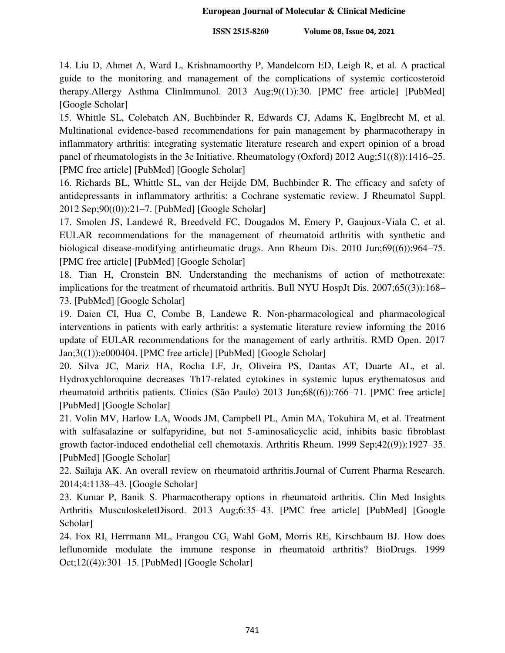14. Liu D, Ahmet A, Ward L, Krishnamoorthy P, Mandelcorn ED, Leigh R, et al. A practical guide to the monitoring and management of the complications of systemic corticosteroid therapy.Allergy Asthma ClinImmunol. 2013 Aug;9((1)):30. [PMC free article] [PubMed] [Google Scholar]

15. Whittle SL, Colebatch AN, Buchbinder R, Edwards CJ, Adams K, Englbrecht M, et al. Multinational evidence-based recommendations for pain management by pharmacotherapy in inflammatory arthritis: integrating systematic literature research and expert opinion of a broad panel of rheumatologists in the 3e Initiative. Rheumatology (Oxford) 2012 Aug;51((8)):1416–25. [PMC free article] [PubMed] [Google Scholar]

16. Richards BL, Whittle SL, van der Heijde DM, Buchbinder R. The efficacy and safety of antidepressants in inflammatory arthritis: a Cochrane systematic review. J Rheumatol Suppl. 2012 Sep;90((0)):21–7. [PubMed] [Google Scholar]

17. Smolen JS, Landewé R, Breedveld FC, Dougados M, Emery P, Gaujoux-Viala C, et al. EULAR recommendations for the management of rheumatoid arthritis with synthetic and biological disease-modifying antirheumatic drugs. Ann Rheum Dis. 2010 Jun;69((6)):964–75. [PMC free article] [PubMed] [Google Scholar]

18. Tian H, Cronstein BN. Understanding the mechanisms of action of methotrexate: implications for the treatment of rheumatoid arthritis. Bull NYU HospJt Dis. 2007;65((3)):168– 73. [PubMed] [Google Scholar]

19. Daien CI, Hua C, Combe B, Landewe R. Non-pharmacological and pharmacological interventions in patients with early arthritis: a systematic literature review informing the 2016 update of EULAR recommendations for the management of early arthritis. RMD Open. 2017 Jan;3((1)):e000404. [PMC free article] [PubMed] [Google Scholar]

20. Silva JC, Mariz HA, Rocha LF, Jr, Oliveira PS, Dantas AT, Duarte AL, et al. Hydroxychloroquine decreases Th17-related cytokines in systemic lupus erythematosus and rheumatoid arthritis patients. Clinics (São Paulo) 2013 Jun;68((6)):766–71. [PMC free article] [PubMed] [Google Scholar]

21. Volin MV, Harlow LA, Woods JM, Campbell PL, Amin MA, Tokuhira M, et al. Treatment with sulfasalazine or sulfapyridine, but not 5-aminosalicyclic acid, inhibits basic fibroblast growth factor-induced endothelial cell chemotaxis. Arthritis Rheum. 1999 Sep;42((9)):1927–35. [PubMed] [Google Scholar]

22. Sailaja AK. An overall review on rheumatoid arthritis.Journal of Current Pharma Research. 2014;4:1138–43. [Google Scholar]

23. Kumar P, Banik S. Pharmacotherapy options in rheumatoid arthritis. Clin Med Insights Arthritis MusculoskeletDisord. 2013 Aug;6:35–43. [PMC free article] [PubMed] [Google Scholar]

24. Fox RI, Herrmann ML, Frangou CG, Wahl GoM, Morris RE, Kirschbaum BJ. How does leflunomide modulate the immune response in rheumatoid arthritis? BioDrugs. 1999 Oct;12((4)):301–15. [PubMed] [Google Scholar]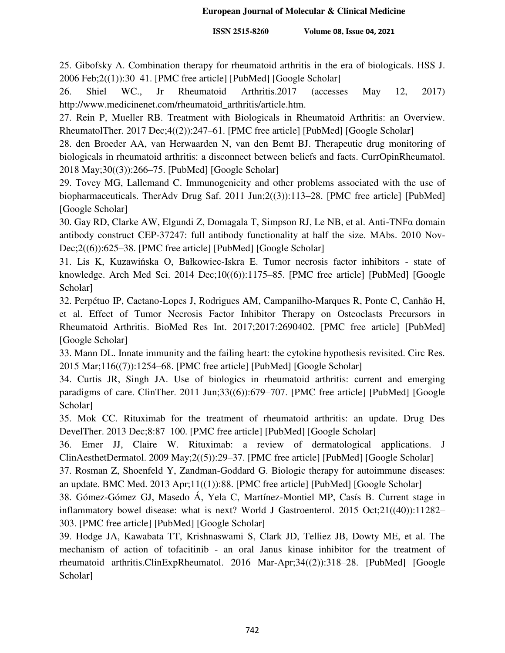25. Gibofsky A. Combination therapy for rheumatoid arthritis in the era of biologicals. HSS J. 2006 Feb;2((1)):30–41. [PMC free article] [PubMed] [Google Scholar]

26. Shiel WC., Jr Rheumatoid Arthritis.2017 (accesses May 12, 2017) http://www.medicinenet.com/rheumatoid\_arthritis/article.htm.

27. Rein P, Mueller RB. Treatment with Biologicals in Rheumatoid Arthritis: an Overview. RheumatolTher. 2017 Dec;4((2)):247–61. [PMC free article] [PubMed] [Google Scholar]

28. den Broeder AA, van Herwaarden N, van den Bemt BJ. Therapeutic drug monitoring of biologicals in rheumatoid arthritis: a disconnect between beliefs and facts. CurrOpinRheumatol. 2018 May;30((3)):266–75. [PubMed] [Google Scholar]

29. Tovey MG, Lallemand C. Immunogenicity and other problems associated with the use of biopharmaceuticals. TherAdv Drug Saf. 2011 Jun;2((3)):113–28. [PMC free article] [PubMed] [Google Scholar]

30. Gay RD, Clarke AW, Elgundi Z, Domagala T, Simpson RJ, Le NB, et al. Anti-TNFα domain antibody construct CEP-37247: full antibody functionality at half the size. MAbs. 2010 Nov-Dec;2((6)):625–38. [PMC free article] [PubMed] [Google Scholar]

31. Lis K, Kuzawińska O, Bałkowiec-Iskra E. Tumor necrosis factor inhibitors - state of knowledge. Arch Med Sci. 2014 Dec;10((6)):1175–85. [PMC free article] [PubMed] [Google Scholar]

32. Perpétuo IP, Caetano-Lopes J, Rodrigues AM, Campanilho-Marques R, Ponte C, Canhão H, et al. Effect of Tumor Necrosis Factor Inhibitor Therapy on Osteoclasts Precursors in Rheumatoid Arthritis. BioMed Res Int. 2017;2017:2690402. [PMC free article] [PubMed] [Google Scholar]

33. Mann DL. Innate immunity and the failing heart: the cytokine hypothesis revisited. Circ Res. 2015 Mar;116((7)):1254–68. [PMC free article] [PubMed] [Google Scholar]

34. Curtis JR, Singh JA. Use of biologics in rheumatoid arthritis: current and emerging paradigms of care. ClinTher. 2011 Jun;33((6)):679–707. [PMC free article] [PubMed] [Google Scholar]

35. Mok CC. Rituximab for the treatment of rheumatoid arthritis: an update. Drug Des DevelTher. 2013 Dec;8:87–100. [PMC free article] [PubMed] [Google Scholar]

36. Emer JJ, Claire W. Rituximab: a review of dermatological applications. J ClinAesthetDermatol. 2009 May;2((5)):29–37. [PMC free article] [PubMed] [Google Scholar]

37. Rosman Z, Shoenfeld Y, Zandman-Goddard G. Biologic therapy for autoimmune diseases: an update. BMC Med. 2013 Apr;11((1)):88. [PMC free article] [PubMed] [Google Scholar]

38. Gómez-Gómez GJ, Masedo Á, Yela C, Martínez-Montiel MP, Casís B. Current stage in inflammatory bowel disease: what is next? World J Gastroenterol. 2015 Oct;21((40)):11282– 303. [PMC free article] [PubMed] [Google Scholar]

39. Hodge JA, Kawabata TT, Krishnaswami S, Clark JD, Telliez JB, Dowty ME, et al. The mechanism of action of tofacitinib - an oral Janus kinase inhibitor for the treatment of rheumatoid arthritis.ClinExpRheumatol. 2016 Mar-Apr;34((2)):318–28. [PubMed] [Google Scholar]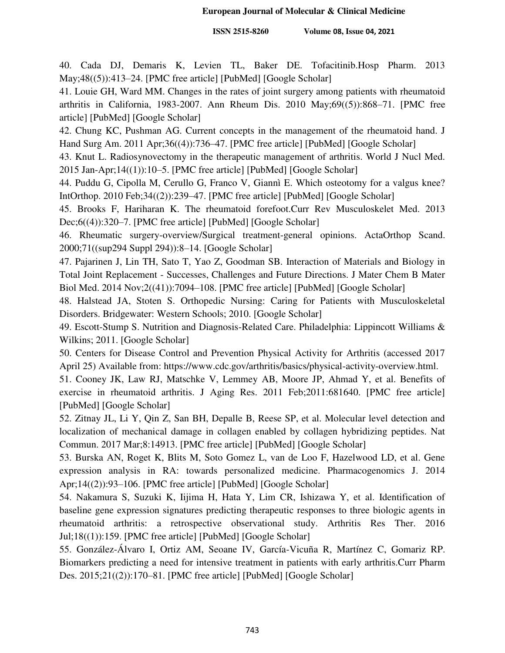40. Cada DJ, Demaris K, Levien TL, Baker DE. Tofacitinib.Hosp Pharm. 2013 May;48((5)):413–24. [PMC free article] [PubMed] [Google Scholar]

41. Louie GH, Ward MM. Changes in the rates of joint surgery among patients with rheumatoid arthritis in California, 1983-2007. Ann Rheum Dis. 2010 May;69((5)):868–71. [PMC free article] [PubMed] [Google Scholar]

42. Chung KC, Pushman AG. Current concepts in the management of the rheumatoid hand. J Hand Surg Am. 2011 Apr;36((4)):736–47. [PMC free article] [PubMed] [Google Scholar]

43. Knut L. Radiosynovectomy in the therapeutic management of arthritis. World J Nucl Med. 2015 Jan-Apr;14((1)):10–5. [PMC free article] [PubMed] [Google Scholar]

44. Puddu G, Cipolla M, Cerullo G, Franco V, Giannì E. Which osteotomy for a valgus knee? IntOrthop. 2010 Feb;34((2)):239–47. [PMC free article] [PubMed] [Google Scholar]

45. Brooks F, Hariharan K. The rheumatoid forefoot.Curr Rev Musculoskelet Med. 2013 Dec;6((4)):320–7. [PMC free article] [PubMed] [Google Scholar]

46. Rheumatic surgery-overview/Surgical treatment-general opinions. ActaOrthop Scand. 2000;71((sup294 Suppl 294)):8–14. [Google Scholar]

47. Pajarinen J, Lin TH, Sato T, Yao Z, Goodman SB. Interaction of Materials and Biology in Total Joint Replacement - Successes, Challenges and Future Directions. J Mater Chem B Mater Biol Med. 2014 Nov;2((41)):7094–108. [PMC free article] [PubMed] [Google Scholar]

48. Halstead JA, Stoten S. Orthopedic Nursing: Caring for Patients with Musculoskeletal Disorders. Bridgewater: Western Schools; 2010. [Google Scholar]

49. Escott-Stump S. Nutrition and Diagnosis-Related Care. Philadelphia: Lippincott Williams & Wilkins; 2011. [Google Scholar]

50. Centers for Disease Control and Prevention Physical Activity for Arthritis (accessed 2017 April 25) Available from: https://www.cdc.gov/arthritis/basics/physical-activity-overview.html.

51. Cooney JK, Law RJ, Matschke V, Lemmey AB, Moore JP, Ahmad Y, et al. Benefits of exercise in rheumatoid arthritis. J Aging Res. 2011 Feb;2011:681640. [PMC free article] [PubMed] [Google Scholar]

52. Zitnay JL, Li Y, Qin Z, San BH, Depalle B, Reese SP, et al. Molecular level detection and localization of mechanical damage in collagen enabled by collagen hybridizing peptides. Nat Commun. 2017 Mar;8:14913. [PMC free article] [PubMed] [Google Scholar]

53. Burska AN, Roget K, Blits M, Soto Gomez L, van de Loo F, Hazelwood LD, et al. Gene expression analysis in RA: towards personalized medicine. Pharmacogenomics J. 2014 Apr;14((2)):93–106. [PMC free article] [PubMed] [Google Scholar]

54. Nakamura S, Suzuki K, Iijima H, Hata Y, Lim CR, Ishizawa Y, et al. Identification of baseline gene expression signatures predicting therapeutic responses to three biologic agents in rheumatoid arthritis: a retrospective observational study. Arthritis Res Ther. 2016 Jul;18((1)):159. [PMC free article] [PubMed] [Google Scholar]

55. González-Álvaro I, Ortiz AM, Seoane IV, García-Vicuña R, Martínez C, Gomariz RP. Biomarkers predicting a need for intensive treatment in patients with early arthritis.Curr Pharm Des. 2015;21((2)):170–81. [PMC free article] [PubMed] [Google Scholar]